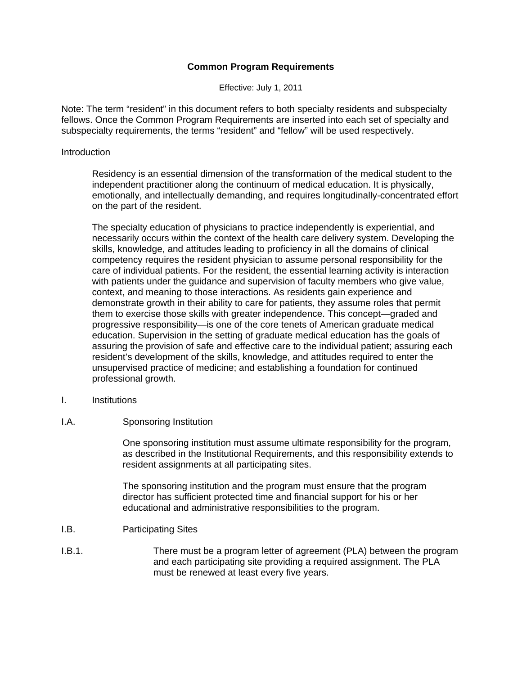## **Common Program Requirements**

Effective: July 1, 2011

Note: The term "resident" in this document refers to both specialty residents and subspecialty fellows. Once the Common Program Requirements are inserted into each set of specialty and subspecialty requirements, the terms "resident" and "fellow" will be used respectively.

## Introduction

Residency is an essential dimension of the transformation of the medical student to the independent practitioner along the continuum of medical education. It is physically, emotionally, and intellectually demanding, and requires longitudinally-concentrated effort on the part of the resident.

The specialty education of physicians to practice independently is experiential, and necessarily occurs within the context of the health care delivery system. Developing the skills, knowledge, and attitudes leading to proficiency in all the domains of clinical competency requires the resident physician to assume personal responsibility for the care of individual patients. For the resident, the essential learning activity is interaction with patients under the guidance and supervision of faculty members who give value, context, and meaning to those interactions. As residents gain experience and demonstrate growth in their ability to care for patients, they assume roles that permit them to exercise those skills with greater independence. This concept—graded and progressive responsibility—is one of the core tenets of American graduate medical education. Supervision in the setting of graduate medical education has the goals of assuring the provision of safe and effective care to the individual patient; assuring each resident's development of the skills, knowledge, and attitudes required to enter the unsupervised practice of medicine; and establishing a foundation for continued professional growth.

I. Institutions

## I.A. Sponsoring Institution

One sponsoring institution must assume ultimate responsibility for the program, as described in the Institutional Requirements, and this responsibility extends to resident assignments at all participating sites.

The sponsoring institution and the program must ensure that the program director has sufficient protected time and financial support for his or her educational and administrative responsibilities to the program.

- I.B. Participating Sites
- I.B.1. There must be a program letter of agreement (PLA) between the program and each participating site providing a required assignment. The PLA must be renewed at least every five years.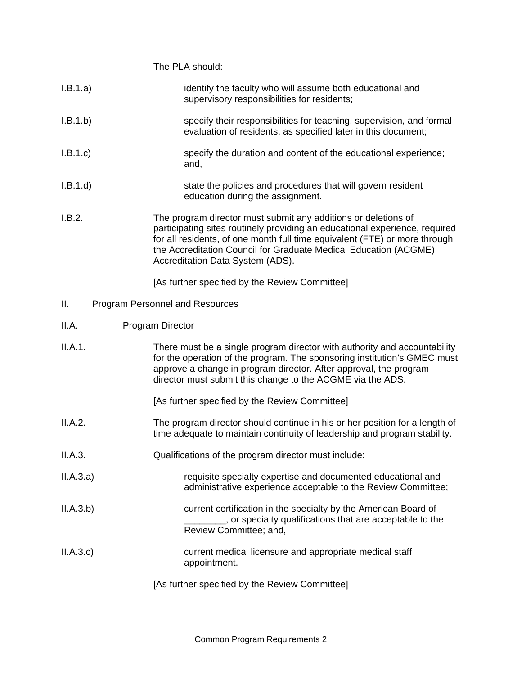| I.B.1.a)  | identify the faculty who will assume both educational and<br>supervisory responsibilities for residents;                                                                                                                                                                                                                            |
|-----------|-------------------------------------------------------------------------------------------------------------------------------------------------------------------------------------------------------------------------------------------------------------------------------------------------------------------------------------|
| I.B.1.b)  | specify their responsibilities for teaching, supervision, and formal<br>evaluation of residents, as specified later in this document;                                                                                                                                                                                               |
| I.B.1.c   | specify the duration and content of the educational experience;<br>and,                                                                                                                                                                                                                                                             |
| I.B.1.d)  | state the policies and procedures that will govern resident<br>education during the assignment.                                                                                                                                                                                                                                     |
| I.B.2.    | The program director must submit any additions or deletions of<br>participating sites routinely providing an educational experience, required<br>for all residents, of one month full time equivalent (FTE) or more through<br>the Accreditation Council for Graduate Medical Education (ACGME)<br>Accreditation Data System (ADS). |
|           | [As further specified by the Review Committee]                                                                                                                                                                                                                                                                                      |
| Ш.        | <b>Program Personnel and Resources</b>                                                                                                                                                                                                                                                                                              |
| II.A.     | <b>Program Director</b>                                                                                                                                                                                                                                                                                                             |
| II.A.1.   | There must be a single program director with authority and accountability<br>for the operation of the program. The sponsoring institution's GMEC must<br>approve a change in program director. After approval, the program<br>director must submit this change to the ACGME via the ADS.                                            |
|           | [As further specified by the Review Committee]                                                                                                                                                                                                                                                                                      |
| II.A.2.   | The program director should continue in his or her position for a length of<br>time adequate to maintain continuity of leadership and program stability.                                                                                                                                                                            |
| II.A.3.   | Qualifications of the program director must include:                                                                                                                                                                                                                                                                                |
| II.A.3.a) | requisite specialty expertise and documented educational and<br>administrative experience acceptable to the Review Committee;                                                                                                                                                                                                       |
| II.A.3.b) | current certification in the specialty by the American Board of<br>_, or specialty qualifications that are acceptable to the<br>Review Committee; and,                                                                                                                                                                              |
| II.A.3.c  | current medical licensure and appropriate medical staff                                                                                                                                                                                                                                                                             |

[As further specified by the Review Committee]

appointment.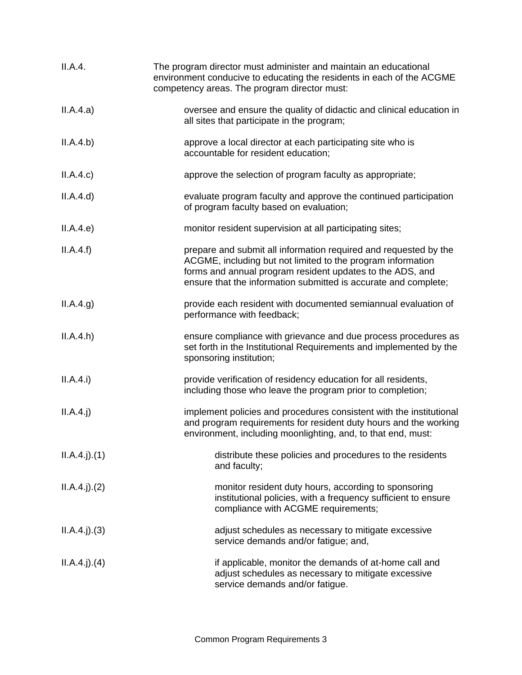| II.A.4.        | The program director must administer and maintain an educational<br>environment conducive to educating the residents in each of the ACGME<br>competency areas. The program director must:                                                                       |
|----------------|-----------------------------------------------------------------------------------------------------------------------------------------------------------------------------------------------------------------------------------------------------------------|
| II.A.4.a)      | oversee and ensure the quality of didactic and clinical education in<br>all sites that participate in the program;                                                                                                                                              |
| II.A.4.b)      | approve a local director at each participating site who is<br>accountable for resident education;                                                                                                                                                               |
| II.A.4.c       | approve the selection of program faculty as appropriate;                                                                                                                                                                                                        |
| II.A.4.d       | evaluate program faculty and approve the continued participation<br>of program faculty based on evaluation;                                                                                                                                                     |
| II.A.4.e)      | monitor resident supervision at all participating sites;                                                                                                                                                                                                        |
| II.A.4.f       | prepare and submit all information required and requested by the<br>ACGME, including but not limited to the program information<br>forms and annual program resident updates to the ADS, and<br>ensure that the information submitted is accurate and complete; |
| II.A.4.g.      | provide each resident with documented semiannual evaluation of<br>performance with feedback;                                                                                                                                                                    |
| II.A.4.h       | ensure compliance with grievance and due process procedures as<br>set forth in the Institutional Requirements and implemented by the<br>sponsoring institution;                                                                                                 |
| II.A.4.i)      | provide verification of residency education for all residents,<br>including those who leave the program prior to completion;                                                                                                                                    |
| $II.A.4.$ j    | implement policies and procedures consistent with the institutional<br>and program requirements for resident duty hours and the working<br>environment, including moonlighting, and, to that end, must:                                                         |
| ILA.4. j). (1) | distribute these policies and procedures to the residents<br>and faculty;                                                                                                                                                                                       |
| ILA.4. j). (2) | monitor resident duty hours, according to sponsoring<br>institutional policies, with a frequency sufficient to ensure<br>compliance with ACGME requirements;                                                                                                    |
| ILA.4. j). (3) | adjust schedules as necessary to mitigate excessive<br>service demands and/or fatigue; and,                                                                                                                                                                     |
| ILA.4. j). (4) | if applicable, monitor the demands of at-home call and<br>adjust schedules as necessary to mitigate excessive<br>service demands and/or fatigue.                                                                                                                |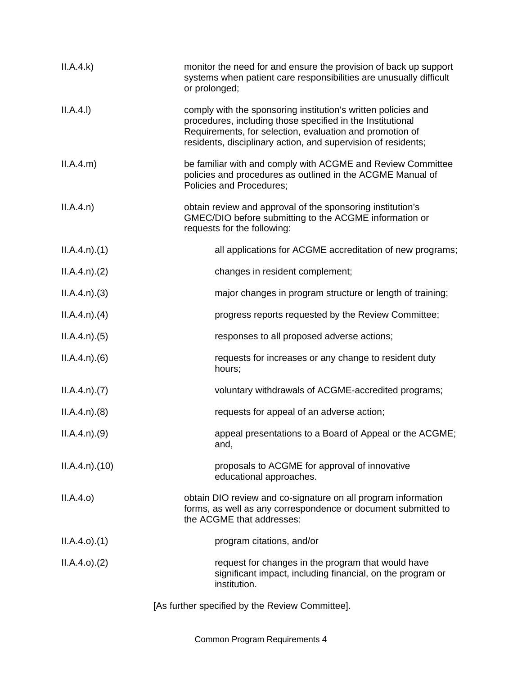| II.A.4.k)         | monitor the need for and ensure the provision of back up support<br>systems when patient care responsibilities are unusually difficult<br>or prolonged;                                                                                                  |
|-------------------|----------------------------------------------------------------------------------------------------------------------------------------------------------------------------------------------------------------------------------------------------------|
| II.A.4.I)         | comply with the sponsoring institution's written policies and<br>procedures, including those specified in the Institutional<br>Requirements, for selection, evaluation and promotion of<br>residents, disciplinary action, and supervision of residents; |
| ILA.4.m)          | be familiar with and comply with ACGME and Review Committee<br>policies and procedures as outlined in the ACGME Manual of<br>Policies and Procedures;                                                                                                    |
| ILA.4.n)          | obtain review and approval of the sponsoring institution's<br>GMEC/DIO before submitting to the ACGME information or<br>requests for the following:                                                                                                      |
| $ILA.4.n$ $(1)$   | all applications for ACGME accreditation of new programs;                                                                                                                                                                                                |
| ILA.4.n.22)       | changes in resident complement;                                                                                                                                                                                                                          |
| ILA.4.n.3)        | major changes in program structure or length of training;                                                                                                                                                                                                |
| ILA.4.n. (4)      | progress reports requested by the Review Committee;                                                                                                                                                                                                      |
| ILA.4.n. (5)      | responses to all proposed adverse actions;                                                                                                                                                                                                               |
| ILA.4.n)(6)       | requests for increases or any change to resident duty<br>hours;                                                                                                                                                                                          |
| ILA.4.n.77)       | voluntary withdrawals of ACGME-accredited programs;                                                                                                                                                                                                      |
| ILA.4.n. (8)      | requests for appeal of an adverse action;                                                                                                                                                                                                                |
| ILA.4.n.99)       | appeal presentations to a Board of Appeal or the ACGME;<br>and,                                                                                                                                                                                          |
| ILA.4.n. (10)     | proposals to ACGME for approval of innovative<br>educational approaches.                                                                                                                                                                                 |
| II.A.4.o)         | obtain DIO review and co-signature on all program information<br>forms, as well as any correspondence or document submitted to<br>the ACGME that addresses:                                                                                              |
| $ILA.4.0$ . $(1)$ | program citations, and/or                                                                                                                                                                                                                                |
| $ILA.4.0$ . $(2)$ | request for changes in the program that would have<br>significant impact, including financial, on the program or<br>institution.                                                                                                                         |
|                   | [As further specified by the Review Committee].                                                                                                                                                                                                          |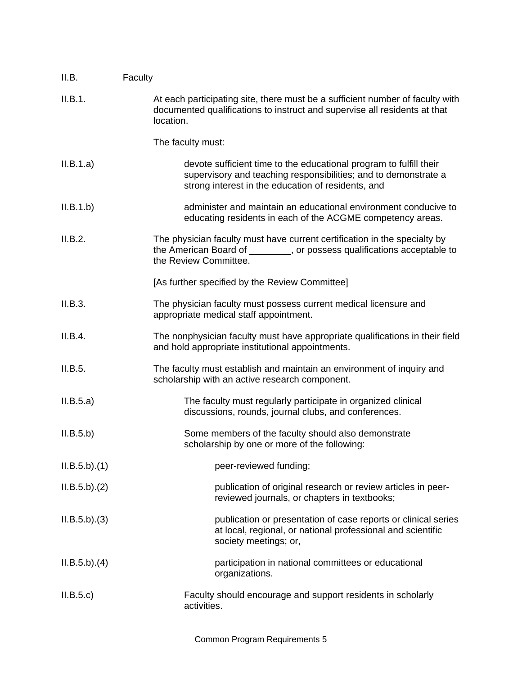| II.B.       | Faculty                                                                                                                                                                                     |
|-------------|---------------------------------------------------------------------------------------------------------------------------------------------------------------------------------------------|
| II.B.1.     | At each participating site, there must be a sufficient number of faculty with<br>documented qualifications to instruct and supervise all residents at that<br>location.                     |
|             | The faculty must:                                                                                                                                                                           |
| II.B.1.a)   | devote sufficient time to the educational program to fulfill their<br>supervisory and teaching responsibilities; and to demonstrate a<br>strong interest in the education of residents, and |
| II.B.1.b)   | administer and maintain an educational environment conducive to<br>educating residents in each of the ACGME competency areas.                                                               |
| II.B.2.     | The physician faculty must have current certification in the specialty by<br>the American Board of ________, or possess qualifications acceptable to<br>the Review Committee.               |
|             | [As further specified by the Review Committee]                                                                                                                                              |
| II.B.3.     | The physician faculty must possess current medical licensure and<br>appropriate medical staff appointment.                                                                                  |
| II.B.4.     | The nonphysician faculty must have appropriate qualifications in their field<br>and hold appropriate institutional appointments.                                                            |
| II.B.5.     | The faculty must establish and maintain an environment of inquiry and<br>scholarship with an active research component.                                                                     |
| II.B.5.a)   | The faculty must regularly participate in organized clinical<br>discussions, rounds, journal clubs, and conferences.                                                                        |
| II.B.5.b)   | Some members of the faculty should also demonstrate<br>scholarship by one or more of the following:                                                                                         |
| ILB.5.b)(1) | peer-reviewed funding;                                                                                                                                                                      |
| ILB.5.b)(2) | publication of original research or review articles in peer-<br>reviewed journals, or chapters in textbooks;                                                                                |
| ILB.5.b)(3) | publication or presentation of case reports or clinical series<br>at local, regional, or national professional and scientific<br>society meetings; or,                                      |
| ILB.5.b)(4) | participation in national committees or educational<br>organizations.                                                                                                                       |
| II.B.5.c    | Faculty should encourage and support residents in scholarly<br>activities.                                                                                                                  |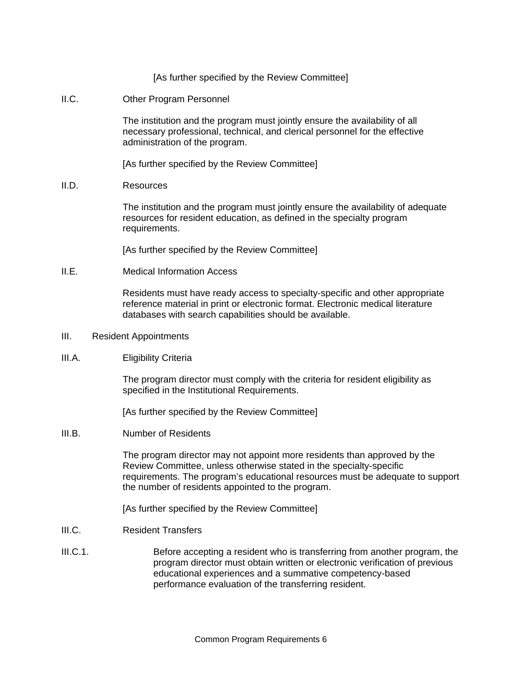[As further specified by the Review Committee]

II.C. Other Program Personnel

The institution and the program must jointly ensure the availability of all necessary professional, technical, and clerical personnel for the effective administration of the program.

[As further specified by the Review Committee]

## II.D. Resources

The institution and the program must jointly ensure the availability of adequate resources for resident education, as defined in the specialty program requirements.

[As further specified by the Review Committee]

II.E. Medical Information Access

Residents must have ready access to specialty-specific and other appropriate reference material in print or electronic format. Electronic medical literature databases with search capabilities should be available.

- III. Resident Appointments
- III.A. Eligibility Criteria

The program director must comply with the criteria for resident eligibility as specified in the Institutional Requirements.

[As further specified by the Review Committee]

III.B. Number of Residents

The program director may not appoint more residents than approved by the Review Committee, unless otherwise stated in the specialty-specific requirements. The program's educational resources must be adequate to support the number of residents appointed to the program.

[As further specified by the Review Committee]

- III.C. Resident Transfers
- III.C.1. Before accepting a resident who is transferring from another program, the program director must obtain written or electronic verification of previous educational experiences and a summative competency-based performance evaluation of the transferring resident.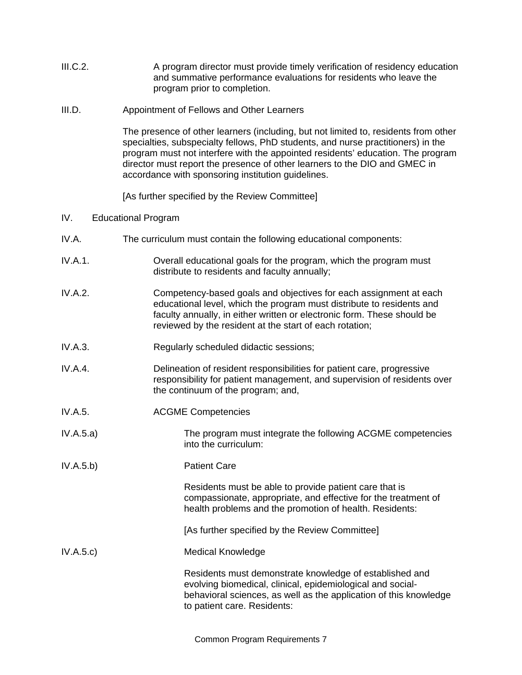- III.C.2. A program director must provide timely verification of residency education and summative performance evaluations for residents who leave the program prior to completion.
- III.D. Appointment of Fellows and Other Learners

The presence of other learners (including, but not limited to, residents from other specialties, subspecialty fellows, PhD students, and nurse practitioners) in the program must not interfere with the appointed residents' education. The program director must report the presence of other learners to the DIO and GMEC in accordance with sponsoring institution guidelines.

[As further specified by the Review Committee]

- IV. Educational Program
- IV.A. The curriculum must contain the following educational components:
- IV.A.1. Overall educational goals for the program, which the program must distribute to residents and faculty annually;
- IV.A.2. Competency-based goals and objectives for each assignment at each educational level, which the program must distribute to residents and faculty annually, in either written or electronic form. These should be reviewed by the resident at the start of each rotation;
- IV.A.3. Regularly scheduled didactic sessions;
- IV.A.4. Delineation of resident responsibilities for patient care, progressive responsibility for patient management, and supervision of residents over the continuum of the program; and,
- IV.A.5. ACGME Competencies
- IV.A.5.a) The program must integrate the following ACGME competencies into the curriculum:
- IV.A.5.b) Patient Care

Residents must be able to provide patient care that is compassionate, appropriate, and effective for the treatment of health problems and the promotion of health. Residents:

[As further specified by the Review Committee]

IV.A.5.c) Medical Knowledge

Residents must demonstrate knowledge of established and evolving biomedical, clinical, epidemiological and socialbehavioral sciences, as well as the application of this knowledge to patient care. Residents: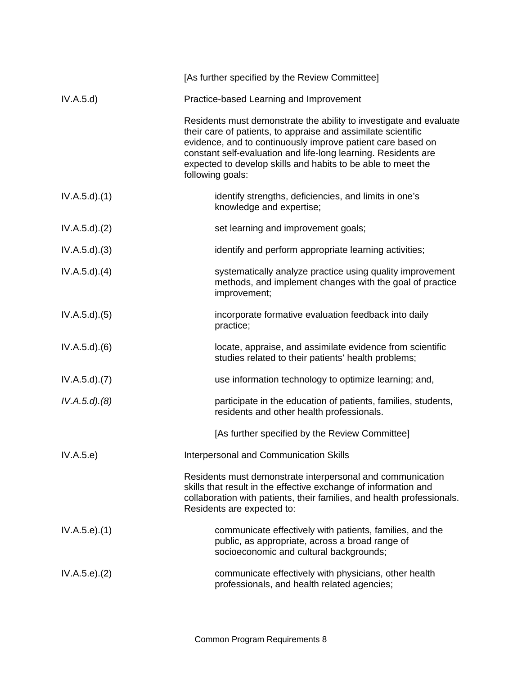|                   | [As further specified by the Review Committee]                                                                                                                                                                                                                                                                                                           |
|-------------------|----------------------------------------------------------------------------------------------------------------------------------------------------------------------------------------------------------------------------------------------------------------------------------------------------------------------------------------------------------|
| IV.A.5.d)         | Practice-based Learning and Improvement                                                                                                                                                                                                                                                                                                                  |
|                   | Residents must demonstrate the ability to investigate and evaluate<br>their care of patients, to appraise and assimilate scientific<br>evidence, and to continuously improve patient care based on<br>constant self-evaluation and life-long learning. Residents are<br>expected to develop skills and habits to be able to meet the<br>following goals: |
| $IV.A.5.d$ $(1)$  | identify strengths, deficiencies, and limits in one's<br>knowledge and expertise;                                                                                                                                                                                                                                                                        |
| $IV.A.5.d$ $(2)$  | set learning and improvement goals;                                                                                                                                                                                                                                                                                                                      |
| IV.A.5.d)(3)      | identify and perform appropriate learning activities;                                                                                                                                                                                                                                                                                                    |
| $IV.A.5.d$ $.(4)$ | systematically analyze practice using quality improvement<br>methods, and implement changes with the goal of practice<br>improvement;                                                                                                                                                                                                                    |
| $IV.A.5.d$ $(5)$  | incorporate formative evaluation feedback into daily<br>practice;                                                                                                                                                                                                                                                                                        |
| IV.A.5.d)(6)      | locate, appraise, and assimilate evidence from scientific<br>studies related to their patients' health problems;                                                                                                                                                                                                                                         |
| $IV.A.5.d$ $.(7)$ | use information technology to optimize learning; and,                                                                                                                                                                                                                                                                                                    |
| IV.A.5.d.(8)      | participate in the education of patients, families, students,<br>residents and other health professionals.                                                                                                                                                                                                                                               |
|                   | [As further specified by the Review Committee]                                                                                                                                                                                                                                                                                                           |
| IV.A.5.e)         | Interpersonal and Communication Skills                                                                                                                                                                                                                                                                                                                   |
|                   | Residents must demonstrate interpersonal and communication<br>skills that result in the effective exchange of information and<br>collaboration with patients, their families, and health professionals.<br>Residents are expected to:                                                                                                                    |
| $IV.A.5.e$ $(1)$  | communicate effectively with patients, families, and the<br>public, as appropriate, across a broad range of<br>socioeconomic and cultural backgrounds;                                                                                                                                                                                                   |
| IV.A.5.e. (2)     | communicate effectively with physicians, other health<br>professionals, and health related agencies;                                                                                                                                                                                                                                                     |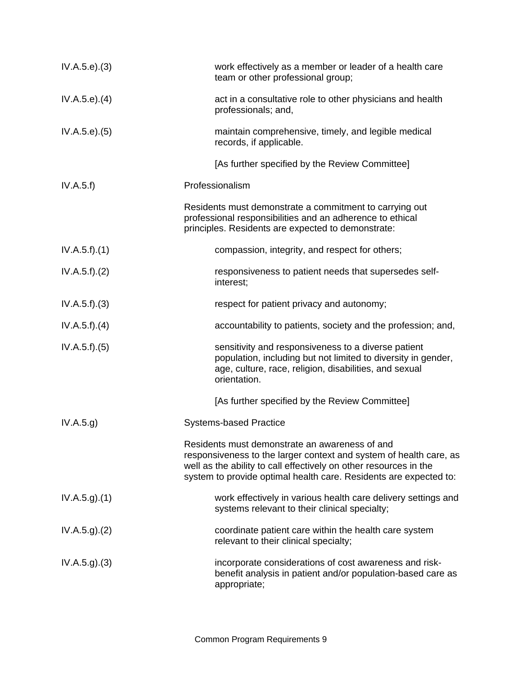| IV.A.5.e.)(3)       | work effectively as a member or leader of a health care<br>team or other professional group;                                                                                                                                                                   |
|---------------------|----------------------------------------------------------------------------------------------------------------------------------------------------------------------------------------------------------------------------------------------------------------|
| $IV.A.5.e$ ). $(4)$ | act in a consultative role to other physicians and health<br>professionals; and,                                                                                                                                                                               |
| IV.A.5.e. (5)       | maintain comprehensive, timely, and legible medical<br>records, if applicable.                                                                                                                                                                                 |
|                     | [As further specified by the Review Committee]                                                                                                                                                                                                                 |
| IV.A.5.f)           | Professionalism                                                                                                                                                                                                                                                |
|                     | Residents must demonstrate a commitment to carrying out<br>professional responsibilities and an adherence to ethical<br>principles. Residents are expected to demonstrate:                                                                                     |
| IV.A.5.f)(1)        | compassion, integrity, and respect for others;                                                                                                                                                                                                                 |
| IV.A.5.f)(2)        | responsiveness to patient needs that supersedes self-<br>interest;                                                                                                                                                                                             |
| IV.A.5.f).(3)       | respect for patient privacy and autonomy;                                                                                                                                                                                                                      |
| IV.A.5.f)(4)        | accountability to patients, society and the profession; and,                                                                                                                                                                                                   |
| IV.A.5.f)(5)        | sensitivity and responsiveness to a diverse patient<br>population, including but not limited to diversity in gender,<br>age, culture, race, religion, disabilities, and sexual<br>orientation.                                                                 |
|                     | [As further specified by the Review Committee]                                                                                                                                                                                                                 |
| IV.A.5.g)           | <b>Systems-based Practice</b>                                                                                                                                                                                                                                  |
|                     | Residents must demonstrate an awareness of and<br>responsiveness to the larger context and system of health care, as<br>well as the ability to call effectively on other resources in the<br>system to provide optimal health care. Residents are expected to: |
| IV.A.5.g. (1)       | work effectively in various health care delivery settings and<br>systems relevant to their clinical specialty;                                                                                                                                                 |
| IV.A.5.g. (2)       | coordinate patient care within the health care system<br>relevant to their clinical specialty;                                                                                                                                                                 |
| IV.A.5.g. (3)       | incorporate considerations of cost awareness and risk-<br>benefit analysis in patient and/or population-based care as<br>appropriate;                                                                                                                          |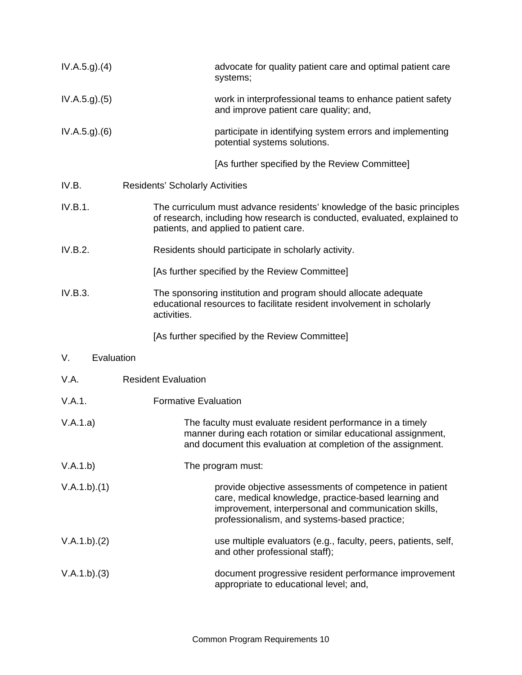| IV.A.5.g. (4)    | advocate for quality patient care and optimal patient care<br>systems;                                                                                                                                                 |
|------------------|------------------------------------------------------------------------------------------------------------------------------------------------------------------------------------------------------------------------|
| IV.A.5.g. (5)    | work in interprofessional teams to enhance patient safety<br>and improve patient care quality; and,                                                                                                                    |
| IV.A.5.g. (6)    | participate in identifying system errors and implementing<br>potential systems solutions.                                                                                                                              |
|                  | [As further specified by the Review Committee]                                                                                                                                                                         |
| IV.B.            | <b>Residents' Scholarly Activities</b>                                                                                                                                                                                 |
| IV.B.1.          | The curriculum must advance residents' knowledge of the basic principles<br>of research, including how research is conducted, evaluated, explained to<br>patients, and applied to patient care.                        |
| IV.B.2.          | Residents should participate in scholarly activity.                                                                                                                                                                    |
|                  | [As further specified by the Review Committee]                                                                                                                                                                         |
| IV.B.3.          | The sponsoring institution and program should allocate adequate<br>educational resources to facilitate resident involvement in scholarly<br>activities.                                                                |
|                  | [As further specified by the Review Committee]                                                                                                                                                                         |
| V.<br>Evaluation |                                                                                                                                                                                                                        |
| V.A.             | <b>Resident Evaluation</b>                                                                                                                                                                                             |
| V.A.1.           | <b>Formative Evaluation</b>                                                                                                                                                                                            |
| V.A.1.a)         | The faculty must evaluate resident performance in a timely<br>manner during each rotation or similar educational assignment,<br>and document this evaluation at completion of the assignment.                          |
| V.A.1.b)         | The program must:                                                                                                                                                                                                      |
| V.A.1.b)(1)      | provide objective assessments of competence in patient<br>care, medical knowledge, practice-based learning and<br>improvement, interpersonal and communication skills,<br>professionalism, and systems-based practice; |
| V.A.1.b)(2)      | use multiple evaluators (e.g., faculty, peers, patients, self,<br>and other professional staff);                                                                                                                       |
| V.A.1.b)(3)      | document progressive resident performance improvement<br>appropriate to educational level; and,                                                                                                                        |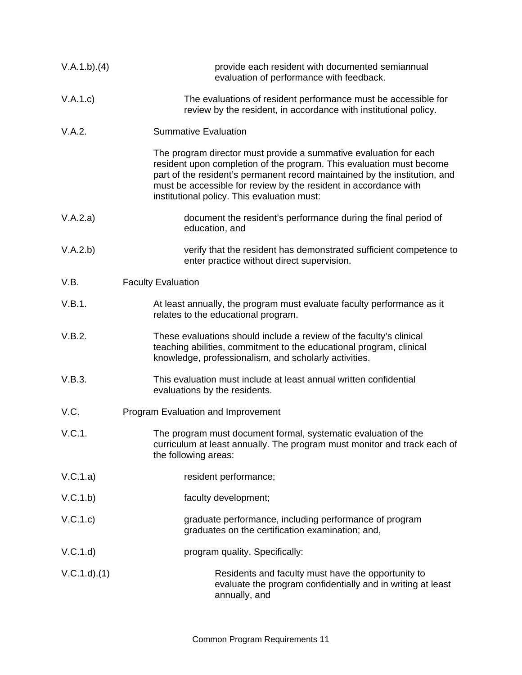| V.A.1.b)(4) | provide each resident with documented semiannual<br>evaluation of performance with feedback.                                                                                                                                                                                                                                               |
|-------------|--------------------------------------------------------------------------------------------------------------------------------------------------------------------------------------------------------------------------------------------------------------------------------------------------------------------------------------------|
| V.A.1.c)    | The evaluations of resident performance must be accessible for<br>review by the resident, in accordance with institutional policy.                                                                                                                                                                                                         |
| V.A.2.      | <b>Summative Evaluation</b>                                                                                                                                                                                                                                                                                                                |
|             | The program director must provide a summative evaluation for each<br>resident upon completion of the program. This evaluation must become<br>part of the resident's permanent record maintained by the institution, and<br>must be accessible for review by the resident in accordance with<br>institutional policy. This evaluation must: |
| V.A.2.a)    | document the resident's performance during the final period of<br>education, and                                                                                                                                                                                                                                                           |
| V.A.2.b)    | verify that the resident has demonstrated sufficient competence to<br>enter practice without direct supervision.                                                                                                                                                                                                                           |
| V.B.        | <b>Faculty Evaluation</b>                                                                                                                                                                                                                                                                                                                  |
| V.B.1.      | At least annually, the program must evaluate faculty performance as it<br>relates to the educational program.                                                                                                                                                                                                                              |
| V.B.2.      | These evaluations should include a review of the faculty's clinical<br>teaching abilities, commitment to the educational program, clinical<br>knowledge, professionalism, and scholarly activities.                                                                                                                                        |
| V.B.3.      | This evaluation must include at least annual written confidential<br>evaluations by the residents.                                                                                                                                                                                                                                         |
| V.C.        | Program Evaluation and Improvement                                                                                                                                                                                                                                                                                                         |
| V.C.1.      | The program must document formal, systematic evaluation of the<br>curriculum at least annually. The program must monitor and track each of<br>the following areas:                                                                                                                                                                         |
| V.C.1.a)    | resident performance;                                                                                                                                                                                                                                                                                                                      |
| V.C.1.b)    | faculty development;                                                                                                                                                                                                                                                                                                                       |
| V.C.1.c)    | graduate performance, including performance of program<br>graduates on the certification examination; and,                                                                                                                                                                                                                                 |
| V.C.1.d     | program quality. Specifically:                                                                                                                                                                                                                                                                                                             |
| V.C.1.d)(1) | Residents and faculty must have the opportunity to<br>evaluate the program confidentially and in writing at least<br>annually, and                                                                                                                                                                                                         |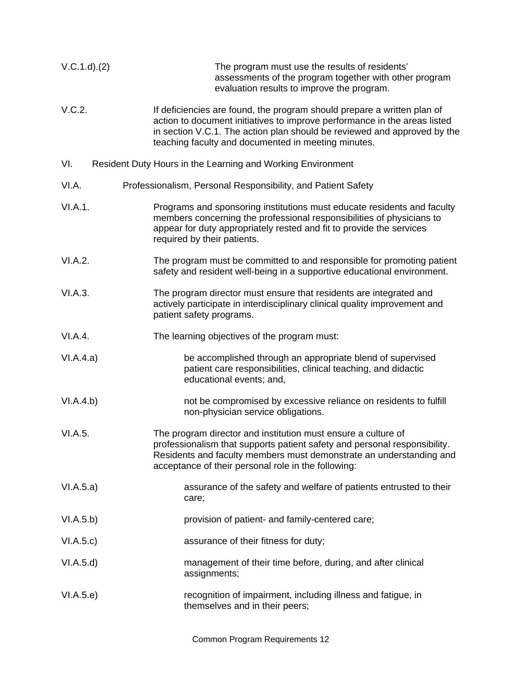| V.C.1.d.)(2) | The program must use the results of residents'<br>assessments of the program together with other program<br>evaluation results to improve the program.                                                                                                                                  |
|--------------|-----------------------------------------------------------------------------------------------------------------------------------------------------------------------------------------------------------------------------------------------------------------------------------------|
| V.C.2.       | If deficiencies are found, the program should prepare a written plan of<br>action to document initiatives to improve performance in the areas listed<br>in section V.C.1. The action plan should be reviewed and approved by the<br>teaching faculty and documented in meeting minutes. |
| VI.          | Resident Duty Hours in the Learning and Working Environment                                                                                                                                                                                                                             |
| VI.A.        | Professionalism, Personal Responsibility, and Patient Safety                                                                                                                                                                                                                            |
| VI.A.1.      | Programs and sponsoring institutions must educate residents and faculty<br>members concerning the professional responsibilities of physicians to<br>appear for duty appropriately rested and fit to provide the services<br>required by their patients.                                 |
| VI.A.2.      | The program must be committed to and responsible for promoting patient<br>safety and resident well-being in a supportive educational environment.                                                                                                                                       |
| VI.A.3.      | The program director must ensure that residents are integrated and<br>actively participate in interdisciplinary clinical quality improvement and<br>patient safety programs.                                                                                                            |
| VI.A.4.      | The learning objectives of the program must:                                                                                                                                                                                                                                            |
| VI.A.4.a)    | be accomplished through an appropriate blend of supervised<br>patient care responsibilities, clinical teaching, and didactic<br>educational events; and,                                                                                                                                |
| VI.A.4.b)    | not be compromised by excessive reliance on residents to fulfill<br>non-physician service obligations.                                                                                                                                                                                  |
| VI.A.5.      | The program director and institution must ensure a culture of<br>professionalism that supports patient safety and personal responsibility.<br>Residents and faculty members must demonstrate an understanding and<br>acceptance of their personal role in the following:                |
| VI.A.5.a)    | assurance of the safety and welfare of patients entrusted to their<br>care;                                                                                                                                                                                                             |
| VI.A.5.b)    | provision of patient- and family-centered care;                                                                                                                                                                                                                                         |
| VI.A.5.c)    | assurance of their fitness for duty;                                                                                                                                                                                                                                                    |
| VI.A.5.d)    | management of their time before, during, and after clinical<br>assignments;                                                                                                                                                                                                             |
| VI.A.5.e)    | recognition of impairment, including illness and fatigue, in<br>themselves and in their peers;                                                                                                                                                                                          |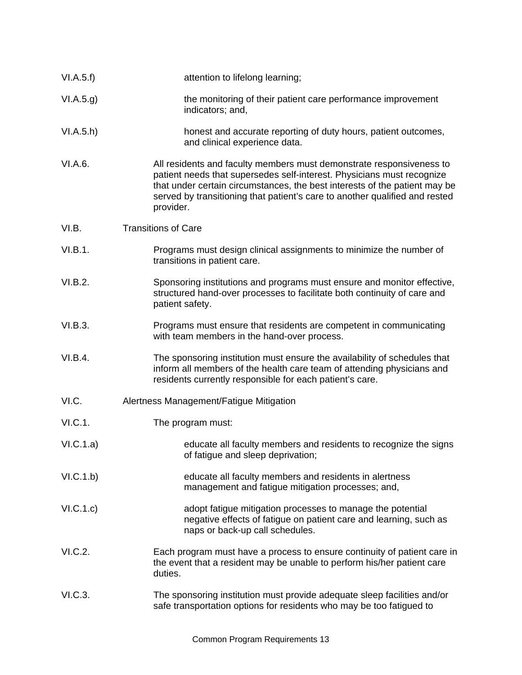| VI.A.5.f) | attention to lifelong learning;                                                                                                                                                                                                                                                                                          |
|-----------|--------------------------------------------------------------------------------------------------------------------------------------------------------------------------------------------------------------------------------------------------------------------------------------------------------------------------|
| VI.A.5.g) | the monitoring of their patient care performance improvement<br>indicators; and,                                                                                                                                                                                                                                         |
| VI.A.5.h) | honest and accurate reporting of duty hours, patient outcomes,<br>and clinical experience data.                                                                                                                                                                                                                          |
| VI.A.6.   | All residents and faculty members must demonstrate responsiveness to<br>patient needs that supersedes self-interest. Physicians must recognize<br>that under certain circumstances, the best interests of the patient may be<br>served by transitioning that patient's care to another qualified and rested<br>provider. |
| VI.B.     | <b>Transitions of Care</b>                                                                                                                                                                                                                                                                                               |
| VI.B.1.   | Programs must design clinical assignments to minimize the number of<br>transitions in patient care.                                                                                                                                                                                                                      |
| VI.B.2.   | Sponsoring institutions and programs must ensure and monitor effective,<br>structured hand-over processes to facilitate both continuity of care and<br>patient safety.                                                                                                                                                   |
| VI.B.3.   | Programs must ensure that residents are competent in communicating<br>with team members in the hand-over process.                                                                                                                                                                                                        |
| VI.B.4.   | The sponsoring institution must ensure the availability of schedules that<br>inform all members of the health care team of attending physicians and<br>residents currently responsible for each patient's care.                                                                                                          |
| VI.C.     | Alertness Management/Fatigue Mitigation                                                                                                                                                                                                                                                                                  |
| VI.C.1.   | The program must:                                                                                                                                                                                                                                                                                                        |
| VI.C.1.a) | educate all faculty members and residents to recognize the signs<br>of fatigue and sleep deprivation;                                                                                                                                                                                                                    |
| VI.C.1.b) | educate all faculty members and residents in alertness<br>management and fatigue mitigation processes; and,                                                                                                                                                                                                              |
| VI.C.1.c) | adopt fatigue mitigation processes to manage the potential<br>negative effects of fatigue on patient care and learning, such as<br>naps or back-up call schedules.                                                                                                                                                       |
| VI.C.2.   | Each program must have a process to ensure continuity of patient care in<br>the event that a resident may be unable to perform his/her patient care<br>duties.                                                                                                                                                           |
| VI.C.3.   | The sponsoring institution must provide adequate sleep facilities and/or<br>safe transportation options for residents who may be too fatigued to                                                                                                                                                                         |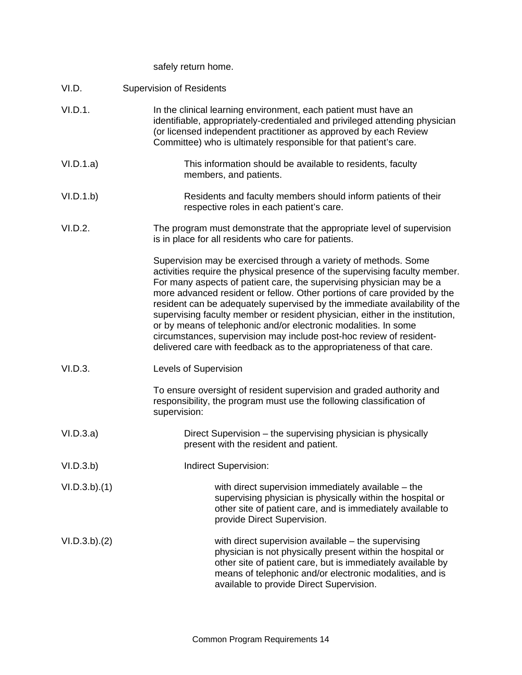safely return home.

| VI.D.          | <b>Supervision of Residents</b>                                                                                                                                                                                                                                                                                                                                                                                                                                                                                                                                                                                                                                                    |
|----------------|------------------------------------------------------------------------------------------------------------------------------------------------------------------------------------------------------------------------------------------------------------------------------------------------------------------------------------------------------------------------------------------------------------------------------------------------------------------------------------------------------------------------------------------------------------------------------------------------------------------------------------------------------------------------------------|
| VI.D.1.        | In the clinical learning environment, each patient must have an<br>identifiable, appropriately-credentialed and privileged attending physician<br>(or licensed independent practitioner as approved by each Review<br>Committee) who is ultimately responsible for that patient's care.                                                                                                                                                                                                                                                                                                                                                                                            |
| VI.D.1.a)      | This information should be available to residents, faculty<br>members, and patients.                                                                                                                                                                                                                                                                                                                                                                                                                                                                                                                                                                                               |
| VI.D.1.b)      | Residents and faculty members should inform patients of their<br>respective roles in each patient's care.                                                                                                                                                                                                                                                                                                                                                                                                                                                                                                                                                                          |
| VI.D.2.        | The program must demonstrate that the appropriate level of supervision<br>is in place for all residents who care for patients.                                                                                                                                                                                                                                                                                                                                                                                                                                                                                                                                                     |
|                | Supervision may be exercised through a variety of methods. Some<br>activities require the physical presence of the supervising faculty member.<br>For many aspects of patient care, the supervising physician may be a<br>more advanced resident or fellow. Other portions of care provided by the<br>resident can be adequately supervised by the immediate availability of the<br>supervising faculty member or resident physician, either in the institution,<br>or by means of telephonic and/or electronic modalities. In some<br>circumstances, supervision may include post-hoc review of resident-<br>delivered care with feedback as to the appropriateness of that care. |
| VI.D.3.        | Levels of Supervision                                                                                                                                                                                                                                                                                                                                                                                                                                                                                                                                                                                                                                                              |
|                | To ensure oversight of resident supervision and graded authority and<br>responsibility, the program must use the following classification of<br>supervision:                                                                                                                                                                                                                                                                                                                                                                                                                                                                                                                       |
| VI.D.3.a)      | Direct Supervision - the supervising physician is physically<br>present with the resident and patient.                                                                                                                                                                                                                                                                                                                                                                                                                                                                                                                                                                             |
| VI.D.3.b)      | Indirect Supervision:                                                                                                                                                                                                                                                                                                                                                                                                                                                                                                                                                                                                                                                              |
| VI.D.3.b)(1)   | with direct supervision immediately available – the<br>supervising physician is physically within the hospital or<br>other site of patient care, and is immediately available to<br>provide Direct Supervision.                                                                                                                                                                                                                                                                                                                                                                                                                                                                    |
| VI.D.3.b). (2) | with direct supervision available – the supervising<br>physician is not physically present within the hospital or<br>other site of patient care, but is immediately available by<br>means of telephonic and/or electronic modalities, and is<br>available to provide Direct Supervision.                                                                                                                                                                                                                                                                                                                                                                                           |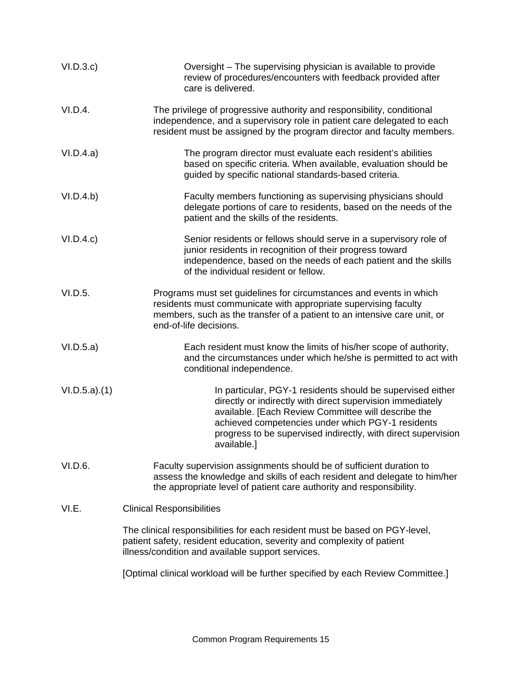| VI.D.3.c     | Oversight – The supervising physician is available to provide<br>review of procedures/encounters with feedback provided after<br>care is delivered.                                                                                                                                                                  |
|--------------|----------------------------------------------------------------------------------------------------------------------------------------------------------------------------------------------------------------------------------------------------------------------------------------------------------------------|
| VI.D.4.      | The privilege of progressive authority and responsibility, conditional<br>independence, and a supervisory role in patient care delegated to each<br>resident must be assigned by the program director and faculty members.                                                                                           |
| VI.D.4.a)    | The program director must evaluate each resident's abilities<br>based on specific criteria. When available, evaluation should be<br>guided by specific national standards-based criteria.                                                                                                                            |
| VI.D.4.b)    | Faculty members functioning as supervising physicians should<br>delegate portions of care to residents, based on the needs of the<br>patient and the skills of the residents.                                                                                                                                        |
| VI.D.4.c     | Senior residents or fellows should serve in a supervisory role of<br>junior residents in recognition of their progress toward<br>independence, based on the needs of each patient and the skills<br>of the individual resident or fellow.                                                                            |
| VI.D.5.      | Programs must set guidelines for circumstances and events in which<br>residents must communicate with appropriate supervising faculty<br>members, such as the transfer of a patient to an intensive care unit, or<br>end-of-life decisions.                                                                          |
| VI.D.5.a)    | Each resident must know the limits of his/her scope of authority,<br>and the circumstances under which he/she is permitted to act with<br>conditional independence.                                                                                                                                                  |
| VI.D.5.a)(1) | In particular, PGY-1 residents should be supervised either<br>directly or indirectly with direct supervision immediately<br>available. [Each Review Committee will describe the<br>achieved competencies under which PGY-1 residents<br>progress to be supervised indirectly, with direct supervision<br>available.] |
| VI.D.6.      | Faculty supervision assignments should be of sufficient duration to<br>assess the knowledge and skills of each resident and delegate to him/her<br>the appropriate level of patient care authority and responsibility.                                                                                               |
| VI.E.        | <b>Clinical Responsibilities</b>                                                                                                                                                                                                                                                                                     |
|              | The clinical responsibilities for each resident must be based on PGY-level,<br>patient safety, resident education, severity and complexity of patient<br>illness/condition and available support services.                                                                                                           |
|              | [Optimal clinical workload will be further specified by each Review Committee.]                                                                                                                                                                                                                                      |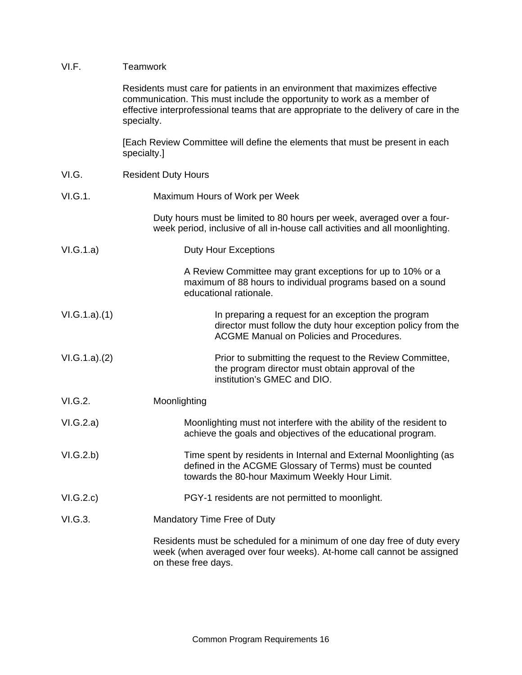| VI.F.          | Teamwork                                                                                                                                                                                                                                                      |  |  |
|----------------|---------------------------------------------------------------------------------------------------------------------------------------------------------------------------------------------------------------------------------------------------------------|--|--|
|                | Residents must care for patients in an environment that maximizes effective<br>communication. This must include the opportunity to work as a member of<br>effective interprofessional teams that are appropriate to the delivery of care in the<br>specialty. |  |  |
|                | [Each Review Committee will define the elements that must be present in each<br>specialty.]                                                                                                                                                                   |  |  |
| VI.G.          | <b>Resident Duty Hours</b>                                                                                                                                                                                                                                    |  |  |
| VI.G.1.        | Maximum Hours of Work per Week                                                                                                                                                                                                                                |  |  |
|                | Duty hours must be limited to 80 hours per week, averaged over a four-<br>week period, inclusive of all in-house call activities and all moonlighting.                                                                                                        |  |  |
| VI.G.1.a)      | <b>Duty Hour Exceptions</b>                                                                                                                                                                                                                                   |  |  |
|                | A Review Committee may grant exceptions for up to 10% or a<br>maximum of 88 hours to individual programs based on a sound<br>educational rationale.                                                                                                           |  |  |
| VI.G.1.a)(1)   | In preparing a request for an exception the program<br>director must follow the duty hour exception policy from the<br><b>ACGME Manual on Policies and Procedures.</b>                                                                                        |  |  |
| VI.G.1.a). (2) | Prior to submitting the request to the Review Committee,<br>the program director must obtain approval of the<br>institution's GMEC and DIO.                                                                                                                   |  |  |
| VI.G.2.        | Moonlighting                                                                                                                                                                                                                                                  |  |  |
| VI.G.2.a)      | Moonlighting must not interfere with the ability of the resident to<br>achieve the goals and objectives of the educational program.                                                                                                                           |  |  |
| VI.G.2.b)      | Time spent by residents in Internal and External Moonlighting (as<br>defined in the ACGME Glossary of Terms) must be counted<br>towards the 80-hour Maximum Weekly Hour Limit.                                                                                |  |  |
| VI.G.2.c)      | PGY-1 residents are not permitted to moonlight.                                                                                                                                                                                                               |  |  |
| VI.G.3.        | Mandatory Time Free of Duty                                                                                                                                                                                                                                   |  |  |
|                | Residents must be scheduled for a minimum of one day free of duty every<br>week (when averaged over four weeks). At-home call cannot be assigned<br>on these free days.                                                                                       |  |  |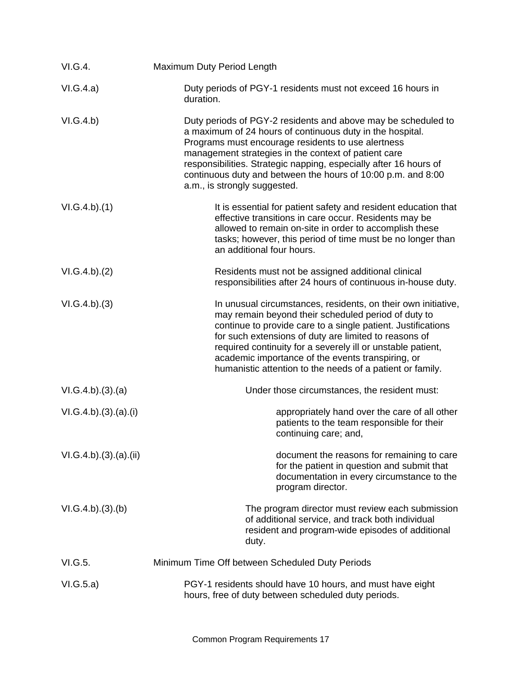| VI.G.4.             | Maximum Duty Period Length                                                                                                                                                                                                                                                                                                                                                                                                     |
|---------------------|--------------------------------------------------------------------------------------------------------------------------------------------------------------------------------------------------------------------------------------------------------------------------------------------------------------------------------------------------------------------------------------------------------------------------------|
| VI.G.4.a)           | Duty periods of PGY-1 residents must not exceed 16 hours in<br>duration.                                                                                                                                                                                                                                                                                                                                                       |
| VI.G.4.b)           | Duty periods of PGY-2 residents and above may be scheduled to<br>a maximum of 24 hours of continuous duty in the hospital.<br>Programs must encourage residents to use alertness<br>management strategies in the context of patient care<br>responsibilities. Strategic napping, especially after 16 hours of<br>continuous duty and between the hours of 10:00 p.m. and 8:00<br>a.m., is strongly suggested.                  |
| VI.G.4.b)(1)        | It is essential for patient safety and resident education that<br>effective transitions in care occur. Residents may be<br>allowed to remain on-site in order to accomplish these<br>tasks; however, this period of time must be no longer than<br>an additional four hours.                                                                                                                                                   |
| VI.G.4.b)(2)        | Residents must not be assigned additional clinical<br>responsibilities after 24 hours of continuous in-house duty.                                                                                                                                                                                                                                                                                                             |
| VI.G.4.b)(3)        | In unusual circumstances, residents, on their own initiative,<br>may remain beyond their scheduled period of duty to<br>continue to provide care to a single patient. Justifications<br>for such extensions of duty are limited to reasons of<br>required continuity for a severely ill or unstable patient,<br>academic importance of the events transpiring, or<br>humanistic attention to the needs of a patient or family. |
| VI.G.4.b)(3)(a)     | Under those circumstances, the resident must:                                                                                                                                                                                                                                                                                                                                                                                  |
| VI.G.4.b)(3)(a)(i)  | appropriately hand over the care of all other<br>patients to the team responsible for their<br>continuing care; and,                                                                                                                                                                                                                                                                                                           |
| VI.G.4.b)(3)(a)(ii) | document the reasons for remaining to care<br>for the patient in question and submit that<br>documentation in every circumstance to the<br>program director.                                                                                                                                                                                                                                                                   |
| VI.G.4.b)(3)(b)     | The program director must review each submission<br>of additional service, and track both individual<br>resident and program-wide episodes of additional<br>duty.                                                                                                                                                                                                                                                              |
| VI.G.5.             | Minimum Time Off between Scheduled Duty Periods                                                                                                                                                                                                                                                                                                                                                                                |
| VI.G.5.a)           | PGY-1 residents should have 10 hours, and must have eight<br>hours, free of duty between scheduled duty periods.                                                                                                                                                                                                                                                                                                               |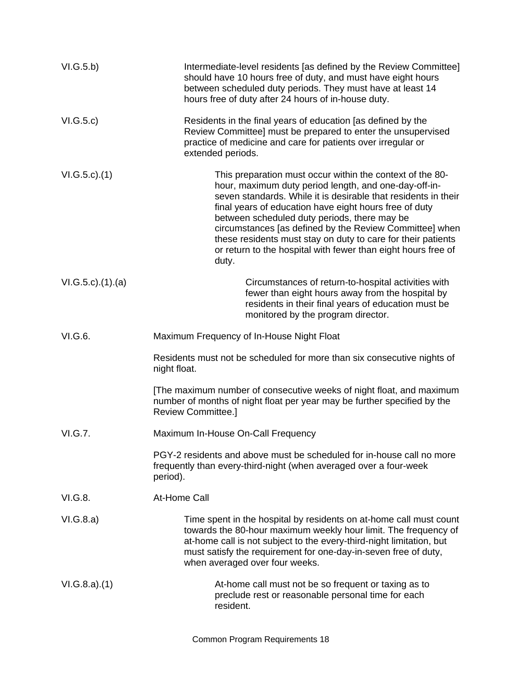| VI.G.5.b)                 | Intermediate-level residents [as defined by the Review Committee]<br>should have 10 hours free of duty, and must have eight hours<br>between scheduled duty periods. They must have at least 14<br>hours free of duty after 24 hours of in-house duty.                                                                                                                                                                                                                                              |
|---------------------------|-----------------------------------------------------------------------------------------------------------------------------------------------------------------------------------------------------------------------------------------------------------------------------------------------------------------------------------------------------------------------------------------------------------------------------------------------------------------------------------------------------|
| VI.G.5.c)                 | Residents in the final years of education [as defined by the<br>Review Committee] must be prepared to enter the unsupervised<br>practice of medicine and care for patients over irregular or<br>extended periods.                                                                                                                                                                                                                                                                                   |
| $VI.G.5.c$ ). $(1)$       | This preparation must occur within the context of the 80-<br>hour, maximum duty period length, and one-day-off-in-<br>seven standards. While it is desirable that residents in their<br>final years of education have eight hours free of duty<br>between scheduled duty periods, there may be<br>circumstances [as defined by the Review Committee] when<br>these residents must stay on duty to care for their patients<br>or return to the hospital with fewer than eight hours free of<br>duty. |
| $VI.G.5.c$ . $(1).$ $(a)$ | Circumstances of return-to-hospital activities with<br>fewer than eight hours away from the hospital by<br>residents in their final years of education must be<br>monitored by the program director.                                                                                                                                                                                                                                                                                                |
| VI.G.6.                   | Maximum Frequency of In-House Night Float                                                                                                                                                                                                                                                                                                                                                                                                                                                           |
|                           | Residents must not be scheduled for more than six consecutive nights of<br>night float.                                                                                                                                                                                                                                                                                                                                                                                                             |
|                           | [The maximum number of consecutive weeks of night float, and maximum<br>number of months of night float per year may be further specified by the<br><b>Review Committee.]</b>                                                                                                                                                                                                                                                                                                                       |
| VI.G.7.                   | Maximum In-House On-Call Frequency                                                                                                                                                                                                                                                                                                                                                                                                                                                                  |
|                           | PGY-2 residents and above must be scheduled for in-house call no more<br>frequently than every-third-night (when averaged over a four-week<br>period).                                                                                                                                                                                                                                                                                                                                              |
| VI.G.8.                   | At-Home Call                                                                                                                                                                                                                                                                                                                                                                                                                                                                                        |
| VI.G.8.a)                 | Time spent in the hospital by residents on at-home call must count<br>towards the 80-hour maximum weekly hour limit. The frequency of<br>at-home call is not subject to the every-third-night limitation, but<br>must satisfy the requirement for one-day-in-seven free of duty,<br>when averaged over four weeks.                                                                                                                                                                                  |
| VI.G.8.a)(1)              | At-home call must not be so frequent or taxing as to<br>preclude rest or reasonable personal time for each<br>resident.                                                                                                                                                                                                                                                                                                                                                                             |